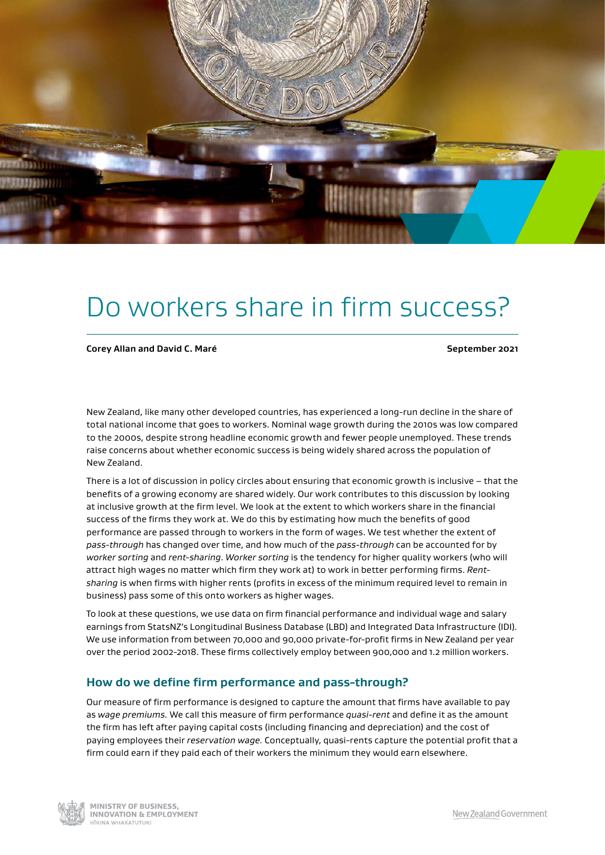

# Do workers share in firm success?

**Corey Allan and David C. Maré September 2021** 

New Zealand, like many other developed countries, has experienced a long-run decline in the share of total national income that goes to workers. Nominal wage growth during the 2010s was low compared to the 2000s, despite strong headline economic growth and fewer people unemployed. These trends raise concerns about whether economic success is being widely shared across the population of New Zealand.

There is a lot of discussion in policy circles about ensuring that economic growth is inclusive – that the benefts of a growing economy are shared widely. Our work contributes to this discussion by looking at inclusive growth at the frm level. We look at the extent to which workers share in the fnancial success of the firms they work at. We do this by estimating how much the benefits of good performance are passed through to workers in the form of wages. We test whether the extent of *pass-through* has changed over time, and how much of the *pass-through* can be accounted for by *worker sorting* and *rent-sharing*. *Worker sorting* is the tendency for higher quality workers (who will attract high wages no matter which firm they work at) to work in better performing firms. Rent*sharing* is when frms with higher rents (profts in excess of the minimum required level to remain in business) pass some of this onto workers as higher wages.

To look at these questions, we use data on frm fnancial performance and individual wage and salary earnings from StatsNZ's Longitudinal Business Database (LBD) and Integrated Data Infrastructure (IDI). We use information from between 70,000 and 90,000 private-for-profit firms in New Zealand per year over the period 2002-2018. These frms collectively employ between 900,000 and 1.2 million workers.

# **How do we defne frm performance and pass-through?**

Our measure of firm performance is designed to capture the amount that firms have available to pay as *wage premiums.* We call this measure of frm performance *quasi-rent* and defne it as the amount the firm has left after paying capital costs (including financing and depreciation) and the cost of paying employees their *reservation wage.* Conceptually, quasi-rents capture the potential proft that a frm could earn if they paid each of their workers the minimum they would earn elsewhere.

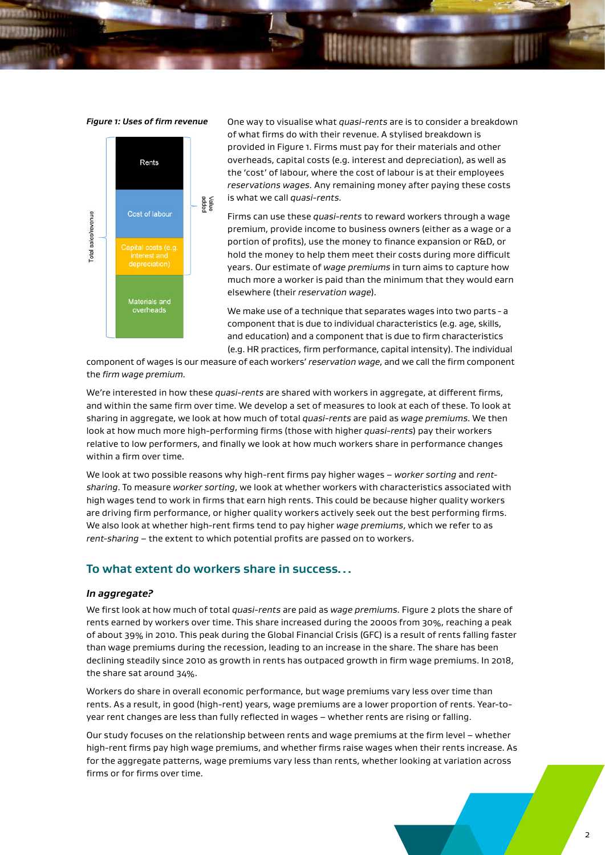

*Figure 1: Uses of frm revenue* One way to visualise what *quasi-rents* are is to consider a breakdown of what firms do with their revenue. A stylised breakdown is provided in Figure 1. Firms must pay for their materials and other overheads, capital costs (e.g. interest and depreciation), as well as the 'cost' of labour, where the cost of labour is at their employees reservations wages. Any remaining money after paying these costs is what we call *quasi-rents.* 

> Firms can use these *quasi-rents* to reward workers through a wage premium, provide income to business owners (either as a wage or a portion of profits), use the money to finance expansion or R&D, or hold the money to help them meet their costs during more difficult years. Our estimate of *wage premiums* in turn aims to capture how much more a worker is paid than the minimum that they would earn elsewhere (their *reservation wage*).

> We make use of a technique that separates wages into two parts - a component that is due to individual characteristics (e.g. age, skills, and education) and a component that is due to frm characteristics (e.g. HR practices, frm performance, capital intensity). The individual

component of wages is our measure of each workers' *reservation wage*, and we call the frm component the *frm wage premium*.

We're interested in how these *quasi-rents* are shared with workers in aggregate, at diferent frms, and within the same frm over time. We develop a set of measures to look at each of these. To look at sharing in aggregate, we look at how much of total *quasi-rents* are paid as *wage premiums*. We then look at how much more high-performing frms (those with higher *quasi-rents*) pay their workers relative to low performers, and finally we look at how much workers share in performance changes within a firm over time.

We look at two possible reasons why high-rent frms pay higher wages – *worker sorting* and *rentsharing*. To measure *worker sorting*, we look at whether workers with characteristics associated with high wages tend to work in frms that earn high rents. This could be because higher quality workers are driving firm performance, or higher quality workers actively seek out the best performing firms. We also look at whether high-rent frms tend to pay higher *wage premiums*, which we refer to as *rent-sharing* – the extent to which potential profts are passed on to workers.

# **To what extent do workers share in success…**

#### *In aggregate?*

We frst look at how much of total *quasi-rents* are paid as *wage premiums*. Figure 2 plots the share of rents earned by workers over time. This share increased during the 2000s from 30%, reaching a peak of about 39% in 2010. This peak during the Global Financial Crisis (GFC) is a result of rents falling faster than wage premiums during the recession, leading to an increase in the share. The share has been declining steadily since 2010 as growth in rents has outpaced growth in frm wage premiums. In 2018, the share sat around 34%.

Workers do share in overall economic performance, but wage premiums vary less over time than rents. As a result, in good (high-rent) years, wage premiums are a lower proportion of rents. Year-toyear rent changes are less than fully refected in wages – whether rents are rising or falling.

Our study focuses on the relationship between rents and wage premiums at the frm level – whether high-rent frms pay high wage premiums, and whether frms raise wages when their rents increase. As for the aggregate patterns, wage premiums vary less than rents, whether looking at variation across firms or for firms over time.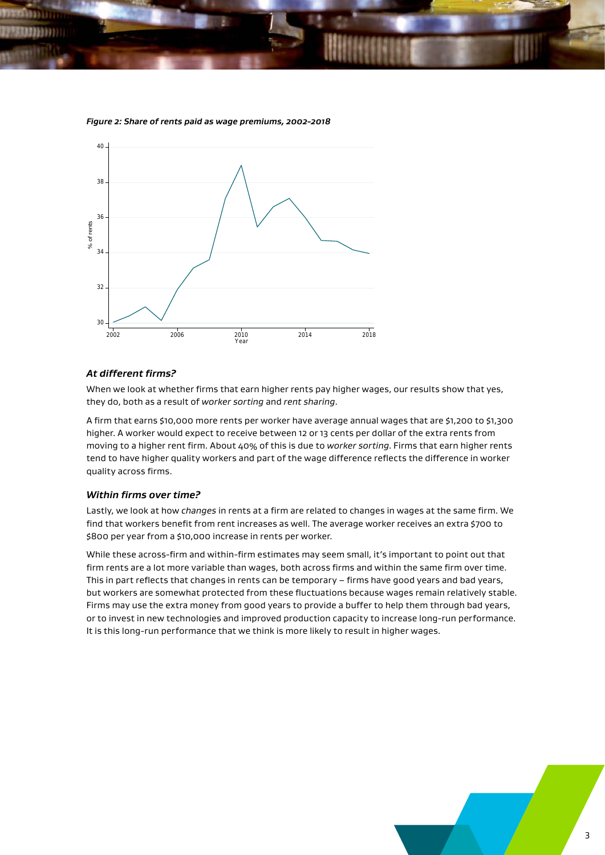

#### *Figure 2: Share of rents paid as wage premiums, 2002-2018*

### *At different frms?*

When we look at whether frms that earn higher rents pay higher wages, our results show that yes, they do, both as a result of *worker sorting* and *rent sharing*.

A frm that earns \$10,000 more rents per worker have average annual wages that are \$1,200 to \$1,300 higher. A worker would expect to receive between 12 or 13 cents per dollar of the extra rents from moving to a higher rent frm. About 40% of this is due to *worker sorting*. Firms that earn higher rents tend to have higher quality workers and part of the wage diference refects the diference in worker quality across firms.

#### *Within frms over time?*

Lastly, we look at how *changes* in rents at a frm are related to changes in wages at the same frm. We find that workers benefit from rent increases as well. The average worker receives an extra \$700 to \$800 per year from a \$10,000 increase in rents per worker.

While these across-frm and within-frm estimates may seem small, it's important to point out that firm rents are a lot more variable than wages, both across firms and within the same firm over time. This in part refects that changes in rents can be temporary – frms have good years and bad years, but workers are somewhat protected from these fuctuations because wages remain relatively stable. Firms may use the extra money from good years to provide a buffer to help them through bad years, or to invest in new technologies and improved production capacity to increase long-run performance. It is this long-run performance that we think is more likely to result in higher wages.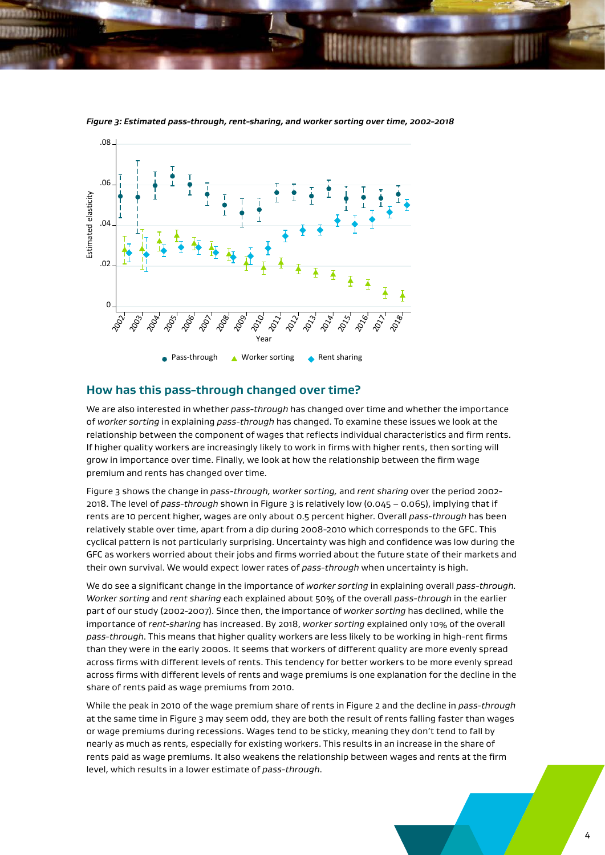

*Figure 3: Estimated pass-through, rent-sharing, and worker sorting over time, 2002-2018* 

## **How has this pass-through changed over time?**

We are also interested in whether *pass-through* has changed over time and whether the importance of *worker sorting* in explaining *pass-through* has changed. To examine these issues we look at the relationship between the component of wages that refects individual characteristics and frm rents. If higher quality workers are increasingly likely to work in frms with higher rents, then sorting will grow in importance over time. Finally, we look at how the relationship between the frm wage premium and rents has changed over time.

Figure 3 shows the change in *pass-through, worker sorting,* and *rent sharing* over the period 2002- 2018. The level of *pass-through* shown in Figure 3 is relatively low (0.045 – 0.065), implying that if rents are 10 percent higher, wages are only about 0.5 percent higher. Overall *pass-through* has been relatively stable over time, apart from a dip during 2008-2010 which corresponds to the GFC. This cyclical patern is not particularly surprising. Uncertainty was high and confdence was low during the GFC as workers worried about their jobs and frms worried about the future state of their markets and their own survival. We would expect lower rates of *pass-through* when uncertainty is high.

We do see a signifcant change in the importance of *worker sorting* in explaining overall *pass-through. Worker sorting* and *rent sharing* each explained about 50% of the overall *pass-through* in the earlier part of our study (2002-2007). Since then, the importance of *worker sorting* has declined, while the importance of *rent-sharing* has increased. By 2018, *worker sorting* explained only 10% of the overall *pass-through*. This means that higher quality workers are less likely to be working in high-rent frms than they were in the early 2000s. It seems that workers of diferent quality are more evenly spread across firms with different levels of rents. This tendency for better workers to be more evenly spread across frms with diferent levels of rents and wage premiums is one explanation for the decline in the share of rents paid as wage premiums from 2010.

While the peak in 2010 of the wage premium share of rents in Figure 2 and the decline in *pass-through*  at the same time in Figure 3 may seem odd, they are both the result of rents falling faster than wages or wage premiums during recessions. Wages tend to be sticky, meaning they don't tend to fall by nearly as much as rents, especially for existing workers. This results in an increase in the share of rents paid as wage premiums. It also weakens the relationship between wages and rents at the frm level, which results in a lower estimate of *pass-through*.